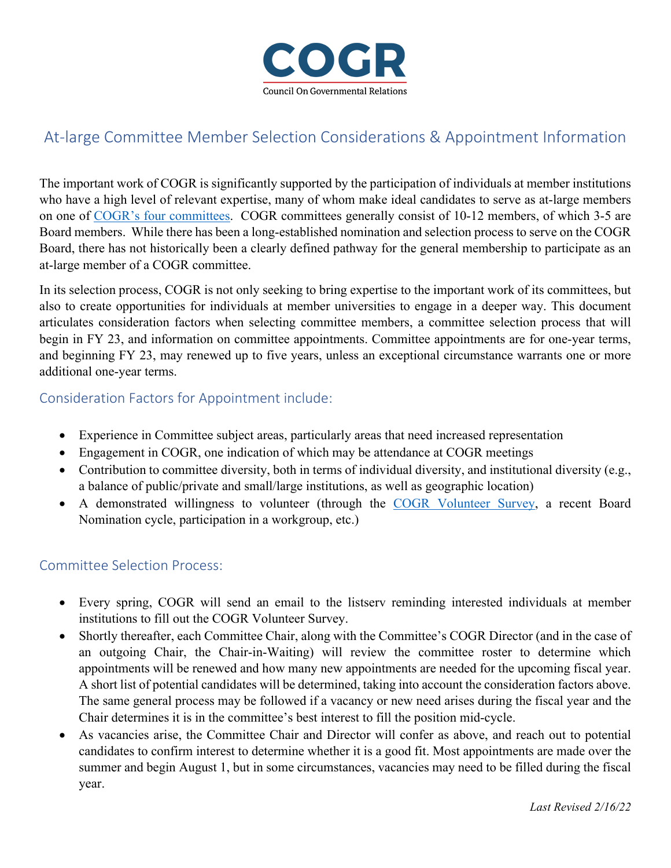

## At-large Committee Member Selection Considerations & Appointment Information

The important work of COGR is significantly supported by the participation of individuals at member institutions who have a high level of relevant expertise, many of whom make ideal candidates to serve as at-large members on one of [COGR's four](https://www.cogr.edu/board-and-committees) committees. COGR committees generally consist of 10-12 members, of which 3-5 are Board members. While there has been a long-established nomination and selection process to serve on the COGR Board, there has not historically been a clearly defined pathway for the general membership to participate as an at-large member of a COGR committee.

In its selection process, COGR is not only seeking to bring expertise to the important work of its committees, but also to create opportunities for individuals at member universities to engage in a deeper way. This document articulates consideration factors when selecting committee members, a committee selection process that will begin in FY 23, and information on committee appointments. Committee appointments are for one-year terms, and beginning FY 23, may renewed up to five years, unless an exceptional circumstance warrants one or more additional one-year terms.

## Consideration Factors for Appointment include:

- Experience in Committee subject areas, particularly areas that need increased representation
- Engagement in COGR, one indication of which may be attendance at COGR meetings
- Contribution to committee diversity, both in terms of individual diversity, and institutional diversity (e.g., a balance of public/private and small/large institutions, as well as geographic location)
- A demonstrated willingness to volunteer (through the [COGR Volunteer Survey,](https://survey.alchemer.com/s3/6463484/COGR-Volunteer-Form) a recent Board Nomination cycle, participation in a workgroup, etc.)

## Committee Selection Process:

- Every spring, COGR will send an email to the listserv reminding interested individuals at member institutions to fill out the COGR Volunteer Survey.
- Shortly thereafter, each Committee Chair, along with the Committee's COGR Director (and in the case of an outgoing Chair, the Chair-in-Waiting) will review the committee roster to determine which appointments will be renewed and how many new appointments are needed for the upcoming fiscal year. A short list of potential candidates will be determined, taking into account the consideration factors above. The same general process may be followed if a vacancy or new need arises during the fiscal year and the Chair determines it is in the committee's best interest to fill the position mid-cycle.
- As vacancies arise, the Committee Chair and Director will confer as above, and reach out to potential candidates to confirm interest to determine whether it is a good fit. Most appointments are made over the summer and begin August 1, but in some circumstances, vacancies may need to be filled during the fiscal year.